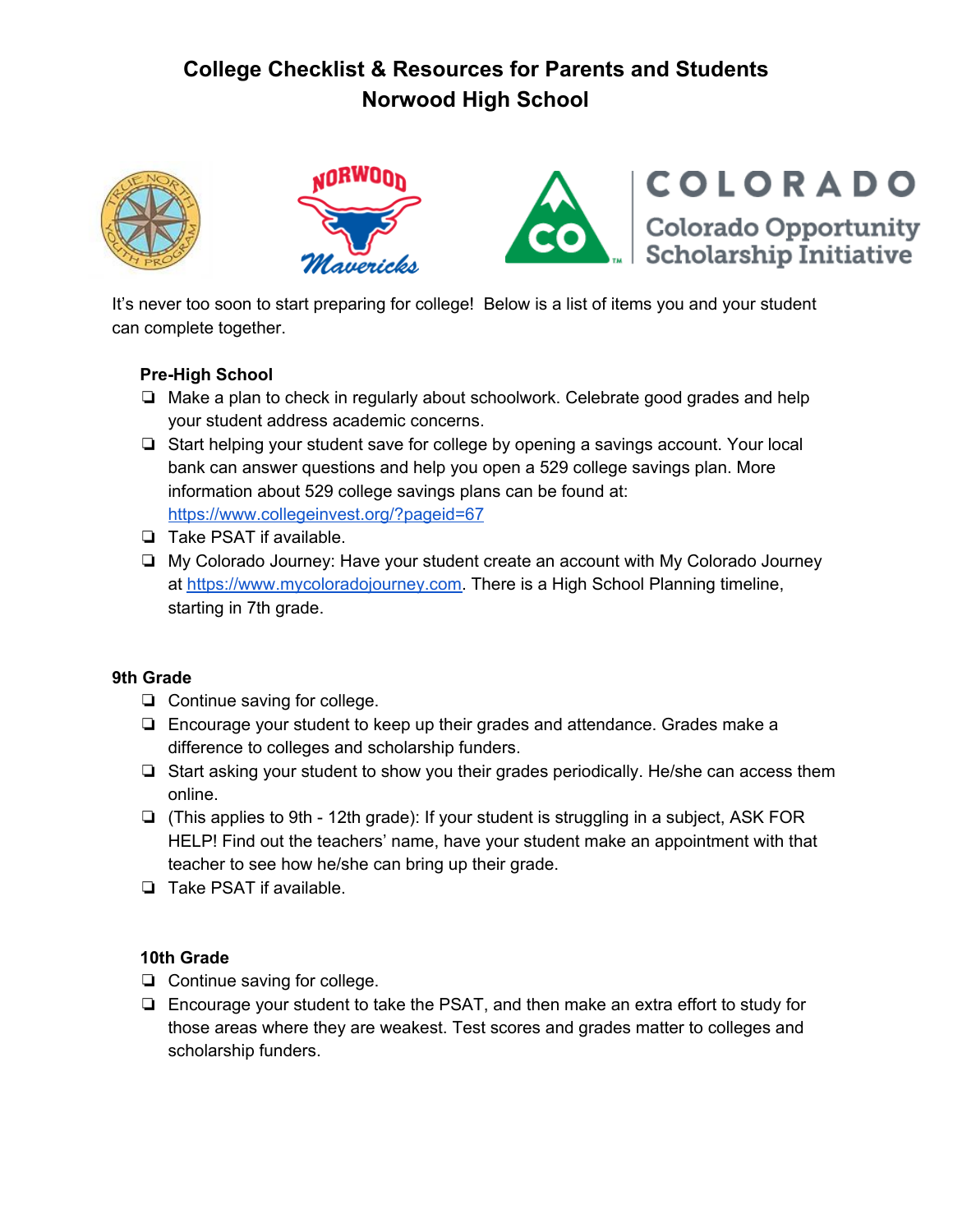# **College Checklist & Resources for Parents and Students Norwood High School**





It's never too soon to start preparing for college! Below is a list of items you and your student can complete together.

## **Pre-High School**

- ❏ Make a plan to check in regularly about schoolwork. Celebrate good grades and help your student address academic concerns.
- ❏ Start helping your student save for college by opening a savings account. Your local bank can answer questions and help you open a 529 college savings plan. More information about 529 college savings plans can be found at: <https://www.collegeinvest.org/?pageid=67>
- ❏ Take PSAT if available.
- ❏ My Colorado Journey: Have your student create an account with My Colorado Journey at [https://www.mycoloradojourney.com.](https://www.mycoloradojourney.com/journey) There is a High School Planning timeline, starting in 7th grade.

## **9th Grade**

- ❏ Continue saving for college.
- ❏ Encourage your student to keep up their grades and attendance. Grades make a difference to colleges and scholarship funders.
- ❏ Start asking your student to show you their grades periodically. He/she can access them online.
- ❏ (This applies to 9th 12th grade): If your student is struggling in a subject, ASK FOR HELP! Find out the teachers' name, have your student make an appointment with that teacher to see how he/she can bring up their grade.
- ❏ Take PSAT if available.

## **10th Grade**

- ❏ Continue saving for college.
- ❏ Encourage your student to take the PSAT, and then make an extra effort to study for those areas where they are weakest. Test scores and grades matter to colleges and scholarship funders.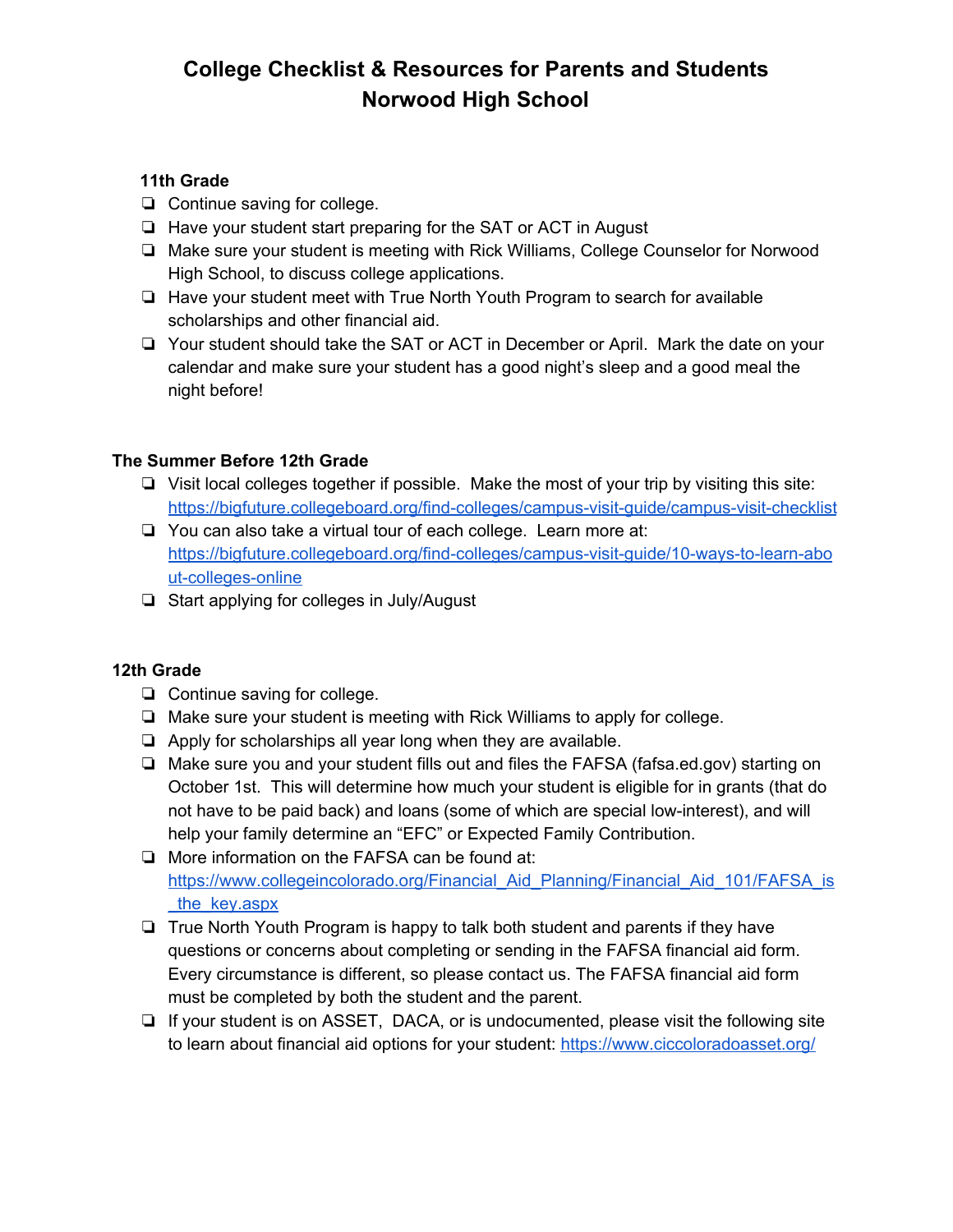# **College Checklist & Resources for Parents and Students Norwood High School**

## **11th Grade**

- ❏ Continue saving for college.
- ❏ Have your student start preparing for the SAT or ACT in August
- ❏ Make sure your student is meeting with Rick Williams, College Counselor for Norwood High School, to discuss college applications.
- ❏ Have your student meet with True North Youth Program to search for available scholarships and other financial aid.
- ❏ Your student should take the SAT or ACT in December or April. Mark the date on your calendar and make sure your student has a good night's sleep and a good meal the night before!

## **The Summer Before 12th Grade**

- ❏ Visit local colleges together if possible. Make the most of your trip by visiting this site: <https://bigfuture.collegeboard.org/find-colleges/campus-visit-guide/campus-visit-checklist>
- ❏ You can also take a virtual tour of each college. Learn more at: [https://bigfuture.collegeboard.org/find-colleges/campus-visit-guide/10-ways-to-learn-abo](https://bigfuture.collegeboard.org/find-colleges/campus-visit-guide/10-ways-to-learn-about-colleges-online) [ut-colleges-online](https://bigfuture.collegeboard.org/find-colleges/campus-visit-guide/10-ways-to-learn-about-colleges-online)
- ❏ Start applying for colleges in July/August

## **12th Grade**

- ❏ Continue saving for college.
- ❏ Make sure your student is meeting with Rick Williams to apply for college.
- ❏ Apply for scholarships all year long when they are available.
- ❏ Make sure you and your student fills out and files the FAFSA (fafsa.ed.gov) starting on October 1st. This will determine how much your student is eligible for in grants (that do not have to be paid back) and loans (some of which are special low-interest), and will help your family determine an "EFC" or Expected Family Contribution.
- ❏ More information on the FAFSA can be found at: https://www.collegeincolorado.org/Financial Aid Planning/Financial Aid 101/FAFSA is the key.aspx
- ❏ True North Youth Program is happy to talk both student and parents if they have questions or concerns about completing or sending in the FAFSA financial aid form. Every circumstance is different, so please contact us. The FAFSA financial aid form must be completed by both the student and the parent.
- ❏ If your student is on ASSET, DACA, or is undocumented, please visit the following site to learn about financial aid options for your student: <https://www.ciccoloradoasset.org/>